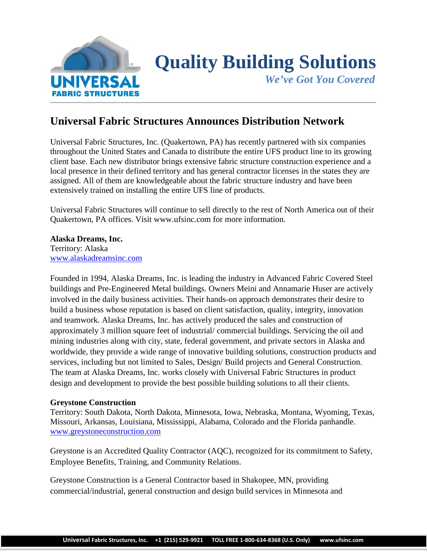

# **Quality Building Solutions**

 *We've Got You Covered*

## **Universal Fabric Structures Announces Distribution Network**

Universal Fabric Structures, Inc. (Quakertown, PA) has recently partnered with six companies throughout the United States and Canada to distribute the entire UFS product line to its growing client base. Each new distributor brings extensive fabric structure construction experience and a local presence in their defined territory and has general contractor licenses in the states they are assigned. All of them are knowledgeable about the fabric structure industry and have been extensively trained on installing the entire UFS line of products.

Universal Fabric Structures will continue to sell directly to the rest of North America out of their Quakertown, PA offices. Visit www.ufsinc.com for more information.

#### **Alaska Dreams, Inc.** Territory: Alaska [www.alaskadreamsinc.com](http://www.alaskadreamsinc.com/)

Founded in 1994, Alaska Dreams, Inc. is leading the industry in Advanced Fabric Covered Steel buildings and Pre-Engineered Metal buildings. Owners Meini and Annamarie Huser are actively involved in the daily business activities. Their hands-on approach demonstrates their desire to build a business whose reputation is based on client satisfaction, quality, integrity, innovation and teamwork. Alaska Dreams, Inc. has actively produced the sales and construction of approximately 3 million square feet of industrial/ commercial buildings. Servicing the oil and mining industries along with city, state, federal government, and private sectors in Alaska and worldwide, they provide a wide range of innovative building solutions, construction products and services, including but not limited to Sales, Design/ Build projects and General Construction. The team at Alaska Dreams, Inc. works closely with Universal Fabric Structures in product design and development to provide the best possible building solutions to all their clients.

### **Greystone Construction**

Territory: South Dakota, North Dakota, Minnesota, Iowa, Nebraska, Montana, Wyoming, Texas, Missouri, Arkansas, Louisiana, Mississippi, Alabama, Colorado and the Florida panhandle. [www.greystoneconstruction.com](http://www.greystoneconstruction.com/)

Greystone is an Accredited Quality Contractor (AQC), recognized for its commitment to Safety, Employee Benefits, Training, and Community Relations.

Greystone Construction is a General Contractor based in Shakopee, MN, providing commercial/industrial, general construction and design build services in Minnesota and